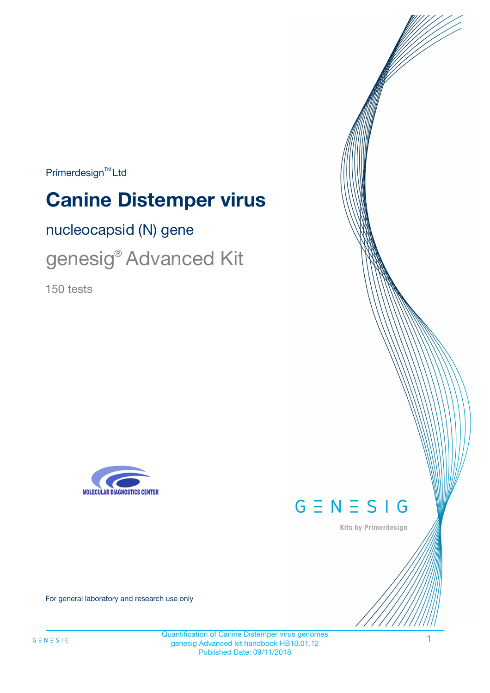$Primerdesign^{\text{TM}}Ltd$ 

# **Canine Distemper virus**

nucleocapsid (N) gene

genesig® Advanced Kit

150 tests





Kits by Primerdesign

For general laboratory and research use only

Quantification of Canine Distemper virus genomes genesig Advanced kit handbook HB10.01.12 Published Date: 09/11/2018

1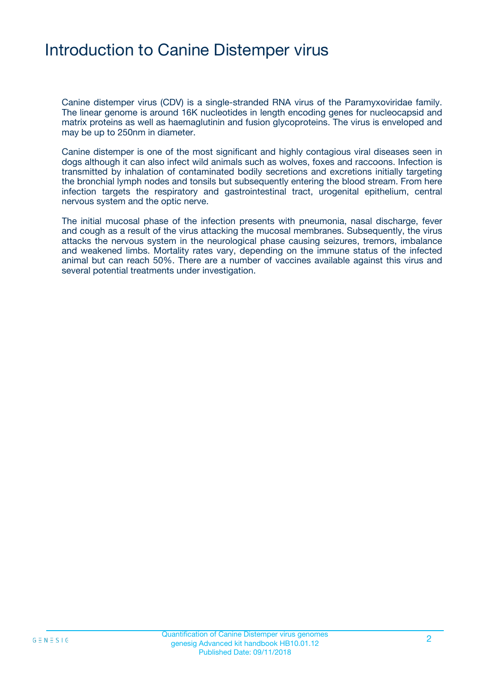### Introduction to Canine Distemper virus

Canine distemper virus (CDV) is a single-stranded RNA virus of the Paramyxoviridae family. The linear genome is around 16K nucleotides in length encoding genes for nucleocapsid and matrix proteins as well as haemaglutinin and fusion glycoproteins. The virus is enveloped and may be up to 250nm in diameter.

Canine distemper is one of the most significant and highly contagious viral diseases seen in dogs although it can also infect wild animals such as wolves, foxes and raccoons. Infection is transmitted by inhalation of contaminated bodily secretions and excretions initially targeting the bronchial lymph nodes and tonsils but subsequently entering the blood stream. From here infection targets the respiratory and gastrointestinal tract, urogenital epithelium, central nervous system and the optic nerve.

The initial mucosal phase of the infection presents with pneumonia, nasal discharge, fever and cough as a result of the virus attacking the mucosal membranes. Subsequently, the virus attacks the nervous system in the neurological phase causing seizures, tremors, imbalance and weakened limbs. Mortality rates vary, depending on the immune status of the infected animal but can reach 50%. There are a number of vaccines available against this virus and several potential treatments under investigation.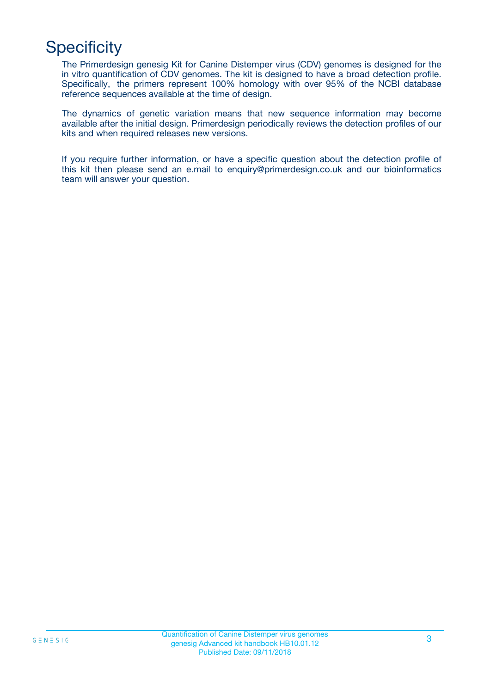# **Specificity**

The Primerdesign genesig Kit for Canine Distemper virus (CDV) genomes is designed for the in vitro quantification of CDV genomes. The kit is designed to have a broad detection profile. Specifically, the primers represent 100% homology with over 95% of the NCBI database reference sequences available at the time of design.

The dynamics of genetic variation means that new sequence information may become available after the initial design. Primerdesign periodically reviews the detection profiles of our kits and when required releases new versions.

If you require further information, or have a specific question about the detection profile of this kit then please send an e.mail to enquiry@primerdesign.co.uk and our bioinformatics team will answer your question.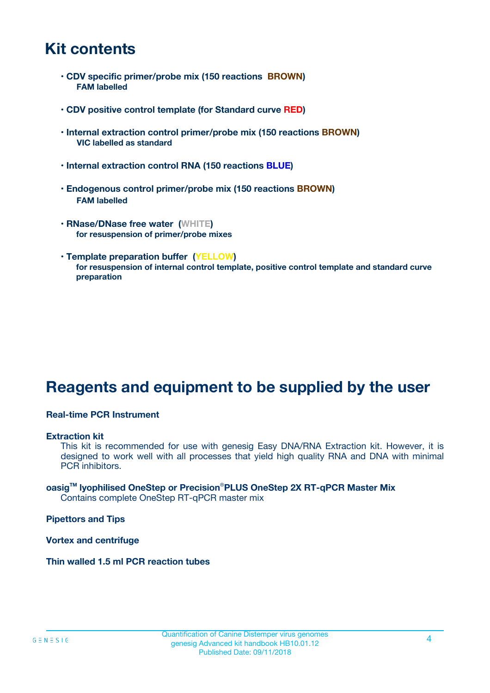### **Kit contents**

- **CDV specific primer/probe mix (150 reactions BROWN) FAM labelled**
- **CDV positive control template (for Standard curve RED)**
- **Internal extraction control primer/probe mix (150 reactions BROWN) VIC labelled as standard**
- **Internal extraction control RNA (150 reactions BLUE)**
- **Endogenous control primer/probe mix (150 reactions BROWN) FAM labelled**
- **RNase/DNase free water (WHITE) for resuspension of primer/probe mixes**
- **Template preparation buffer (YELLOW) for resuspension of internal control template, positive control template and standard curve preparation**

### **Reagents and equipment to be supplied by the user**

#### **Real-time PCR Instrument**

#### **Extraction kit**

This kit is recommended for use with genesig Easy DNA/RNA Extraction kit. However, it is designed to work well with all processes that yield high quality RNA and DNA with minimal PCR inhibitors.

#### **oasigTM lyophilised OneStep or Precision**®**PLUS OneStep 2X RT-qPCR Master Mix** Contains complete OneStep RT-qPCR master mix

**Pipettors and Tips**

**Vortex and centrifuge**

**Thin walled 1.5 ml PCR reaction tubes**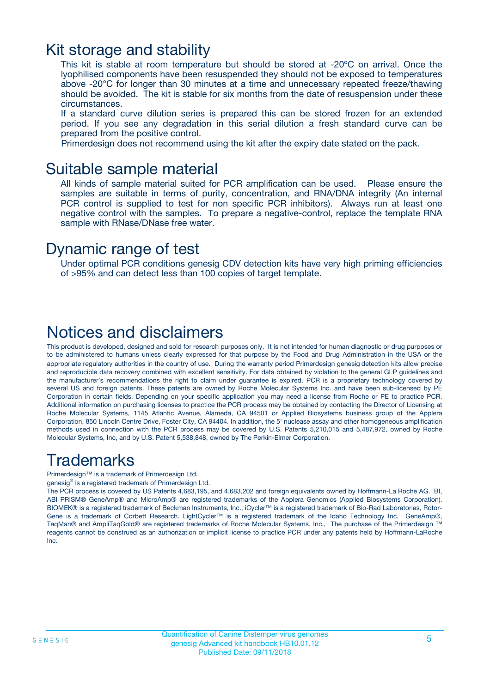### Kit storage and stability

This kit is stable at room temperature but should be stored at -20ºC on arrival. Once the lyophilised components have been resuspended they should not be exposed to temperatures above -20°C for longer than 30 minutes at a time and unnecessary repeated freeze/thawing should be avoided. The kit is stable for six months from the date of resuspension under these circumstances.

If a standard curve dilution series is prepared this can be stored frozen for an extended period. If you see any degradation in this serial dilution a fresh standard curve can be prepared from the positive control.

Primerdesign does not recommend using the kit after the expiry date stated on the pack.

### Suitable sample material

All kinds of sample material suited for PCR amplification can be used. Please ensure the samples are suitable in terms of purity, concentration, and RNA/DNA integrity (An internal PCR control is supplied to test for non specific PCR inhibitors). Always run at least one negative control with the samples. To prepare a negative-control, replace the template RNA sample with RNase/DNase free water.

### Dynamic range of test

Under optimal PCR conditions genesig CDV detection kits have very high priming efficiencies of >95% and can detect less than 100 copies of target template.

### Notices and disclaimers

This product is developed, designed and sold for research purposes only. It is not intended for human diagnostic or drug purposes or to be administered to humans unless clearly expressed for that purpose by the Food and Drug Administration in the USA or the appropriate regulatory authorities in the country of use. During the warranty period Primerdesign genesig detection kits allow precise and reproducible data recovery combined with excellent sensitivity. For data obtained by violation to the general GLP guidelines and the manufacturer's recommendations the right to claim under guarantee is expired. PCR is a proprietary technology covered by several US and foreign patents. These patents are owned by Roche Molecular Systems Inc. and have been sub-licensed by PE Corporation in certain fields. Depending on your specific application you may need a license from Roche or PE to practice PCR. Additional information on purchasing licenses to practice the PCR process may be obtained by contacting the Director of Licensing at Roche Molecular Systems, 1145 Atlantic Avenue, Alameda, CA 94501 or Applied Biosystems business group of the Applera Corporation, 850 Lincoln Centre Drive, Foster City, CA 94404. In addition, the 5' nuclease assay and other homogeneous amplification methods used in connection with the PCR process may be covered by U.S. Patents 5,210,015 and 5,487,972, owned by Roche Molecular Systems, Inc, and by U.S. Patent 5,538,848, owned by The Perkin-Elmer Corporation.

### Trademarks

Primerdesign™ is a trademark of Primerdesign Ltd.

genesig® is a registered trademark of Primerdesign Ltd.

The PCR process is covered by US Patents 4,683,195, and 4,683,202 and foreign equivalents owned by Hoffmann-La Roche AG. BI, ABI PRISM® GeneAmp® and MicroAmp® are registered trademarks of the Applera Genomics (Applied Biosystems Corporation). BIOMEK® is a registered trademark of Beckman Instruments, Inc.; iCycler™ is a registered trademark of Bio-Rad Laboratories, Rotor-Gene is a trademark of Corbett Research. LightCycler™ is a registered trademark of the Idaho Technology Inc. GeneAmp®, TaqMan® and AmpliTaqGold® are registered trademarks of Roche Molecular Systems, Inc., The purchase of the Primerdesign ™ reagents cannot be construed as an authorization or implicit license to practice PCR under any patents held by Hoffmann-LaRoche Inc.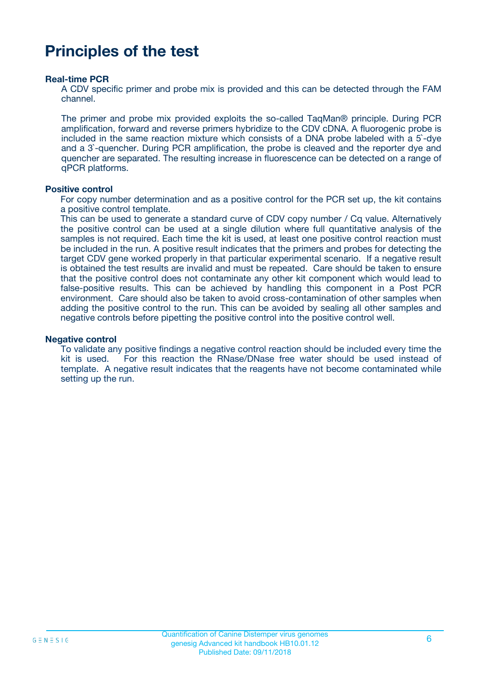### **Principles of the test**

#### **Real-time PCR**

A CDV specific primer and probe mix is provided and this can be detected through the FAM channel.

The primer and probe mix provided exploits the so-called TaqMan® principle. During PCR amplification, forward and reverse primers hybridize to the CDV cDNA. A fluorogenic probe is included in the same reaction mixture which consists of a DNA probe labeled with a 5`-dye and a 3`-quencher. During PCR amplification, the probe is cleaved and the reporter dye and quencher are separated. The resulting increase in fluorescence can be detected on a range of qPCR platforms.

#### **Positive control**

For copy number determination and as a positive control for the PCR set up, the kit contains a positive control template.

This can be used to generate a standard curve of CDV copy number / Cq value. Alternatively the positive control can be used at a single dilution where full quantitative analysis of the samples is not required. Each time the kit is used, at least one positive control reaction must be included in the run. A positive result indicates that the primers and probes for detecting the target CDV gene worked properly in that particular experimental scenario. If a negative result is obtained the test results are invalid and must be repeated. Care should be taken to ensure that the positive control does not contaminate any other kit component which would lead to false-positive results. This can be achieved by handling this component in a Post PCR environment. Care should also be taken to avoid cross-contamination of other samples when adding the positive control to the run. This can be avoided by sealing all other samples and negative controls before pipetting the positive control into the positive control well.

#### **Negative control**

To validate any positive findings a negative control reaction should be included every time the kit is used. For this reaction the RNase/DNase free water should be used instead of template. A negative result indicates that the reagents have not become contaminated while setting up the run.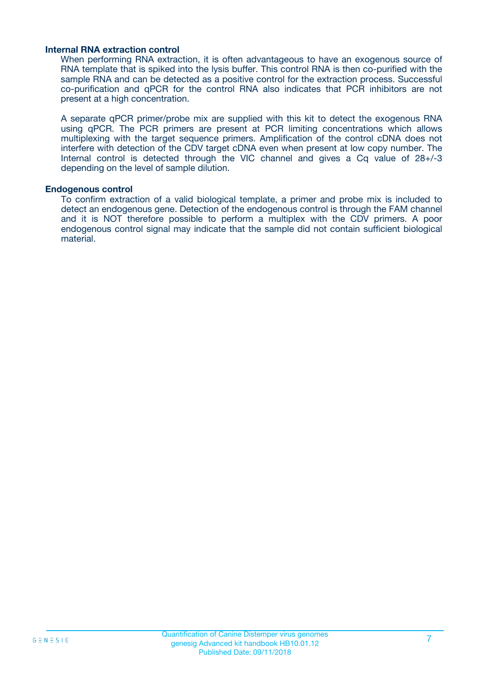#### **Internal RNA extraction control**

When performing RNA extraction, it is often advantageous to have an exogenous source of RNA template that is spiked into the lysis buffer. This control RNA is then co-purified with the sample RNA and can be detected as a positive control for the extraction process. Successful co-purification and qPCR for the control RNA also indicates that PCR inhibitors are not present at a high concentration.

A separate qPCR primer/probe mix are supplied with this kit to detect the exogenous RNA using qPCR. The PCR primers are present at PCR limiting concentrations which allows multiplexing with the target sequence primers. Amplification of the control cDNA does not interfere with detection of the CDV target cDNA even when present at low copy number. The Internal control is detected through the VIC channel and gives a Cq value of 28+/-3 depending on the level of sample dilution.

#### **Endogenous control**

To confirm extraction of a valid biological template, a primer and probe mix is included to detect an endogenous gene. Detection of the endogenous control is through the FAM channel and it is NOT therefore possible to perform a multiplex with the CDV primers. A poor endogenous control signal may indicate that the sample did not contain sufficient biological material.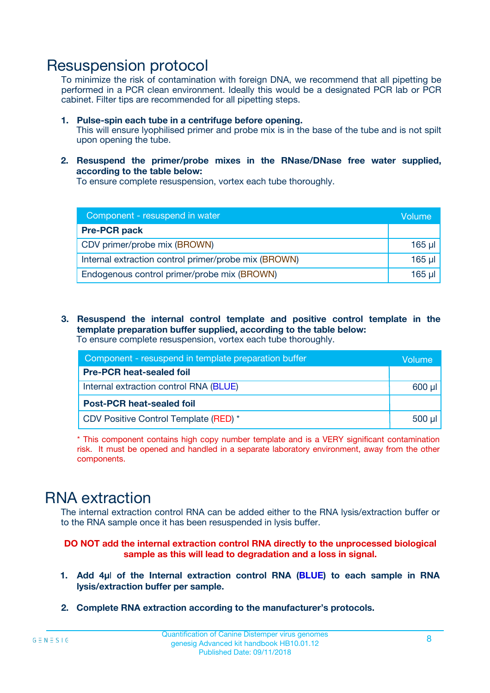### Resuspension protocol

To minimize the risk of contamination with foreign DNA, we recommend that all pipetting be performed in a PCR clean environment. Ideally this would be a designated PCR lab or PCR cabinet. Filter tips are recommended for all pipetting steps.

- **1. Pulse-spin each tube in a centrifuge before opening.** This will ensure lyophilised primer and probe mix is in the base of the tube and is not spilt upon opening the tube.
- **2. Resuspend the primer/probe mixes in the RNase/DNase free water supplied, according to the table below:**

To ensure complete resuspension, vortex each tube thoroughly.

| Component - resuspend in water                       |          |  |
|------------------------------------------------------|----------|--|
| <b>Pre-PCR pack</b>                                  |          |  |
| CDV primer/probe mix (BROWN)                         | $165$ µl |  |
| Internal extraction control primer/probe mix (BROWN) | $165$ µl |  |
| Endogenous control primer/probe mix (BROWN)          | 165 µl   |  |

**3. Resuspend the internal control template and positive control template in the template preparation buffer supplied, according to the table below:** To ensure complete resuspension, vortex each tube thoroughly.

| Component - resuspend in template preparation buffer |             |  |  |
|------------------------------------------------------|-------------|--|--|
| <b>Pre-PCR heat-sealed foil</b>                      |             |  |  |
| Internal extraction control RNA (BLUE)               |             |  |  |
| <b>Post-PCR heat-sealed foil</b>                     |             |  |  |
| CDV Positive Control Template (RED) *                | $500$ $\mu$ |  |  |

\* This component contains high copy number template and is a VERY significant contamination risk. It must be opened and handled in a separate laboratory environment, away from the other components.

### RNA extraction

The internal extraction control RNA can be added either to the RNA lysis/extraction buffer or to the RNA sample once it has been resuspended in lysis buffer.

#### **DO NOT add the internal extraction control RNA directly to the unprocessed biological sample as this will lead to degradation and a loss in signal.**

- **1. Add 4µ**l **of the Internal extraction control RNA (BLUE) to each sample in RNA lysis/extraction buffer per sample.**
- **2. Complete RNA extraction according to the manufacturer's protocols.**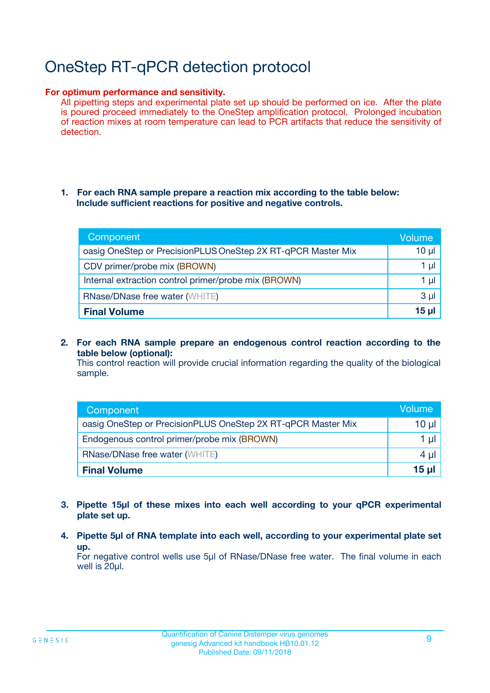# OneStep RT-qPCR detection protocol

#### **For optimum performance and sensitivity.**

All pipetting steps and experimental plate set up should be performed on ice. After the plate is poured proceed immediately to the OneStep amplification protocol. Prolonged incubation of reaction mixes at room temperature can lead to PCR artifacts that reduce the sensitivity of detection.

#### **1. For each RNA sample prepare a reaction mix according to the table below: Include sufficient reactions for positive and negative controls.**

| Component                                                    | <b>Volume</b> |
|--------------------------------------------------------------|---------------|
| oasig OneStep or PrecisionPLUS OneStep 2X RT-qPCR Master Mix | $10 \mu$      |
| CDV primer/probe mix (BROWN)                                 | 1 µI          |
| Internal extraction control primer/probe mix (BROWN)         | 1 µI          |
| <b>RNase/DNase free water (WHITE)</b>                        | $3 \mu$       |
| <b>Final Volume</b>                                          | 15 µl         |

**2. For each RNA sample prepare an endogenous control reaction according to the table below (optional):**

This control reaction will provide crucial information regarding the quality of the biological sample.

| Component                                                    | Volume          |
|--------------------------------------------------------------|-----------------|
| oasig OneStep or PrecisionPLUS OneStep 2X RT-qPCR Master Mix | 10 µl           |
| Endogenous control primer/probe mix (BROWN)                  | 1 µl            |
| <b>RNase/DNase free water (WHITE)</b>                        | $4 \mu$         |
| <b>Final Volume</b>                                          | $15$ µl $\vert$ |

- **3. Pipette 15µl of these mixes into each well according to your qPCR experimental plate set up.**
- **4. Pipette 5µl of RNA template into each well, according to your experimental plate set up.**

For negative control wells use 5µl of RNase/DNase free water. The final volume in each well is 20µl.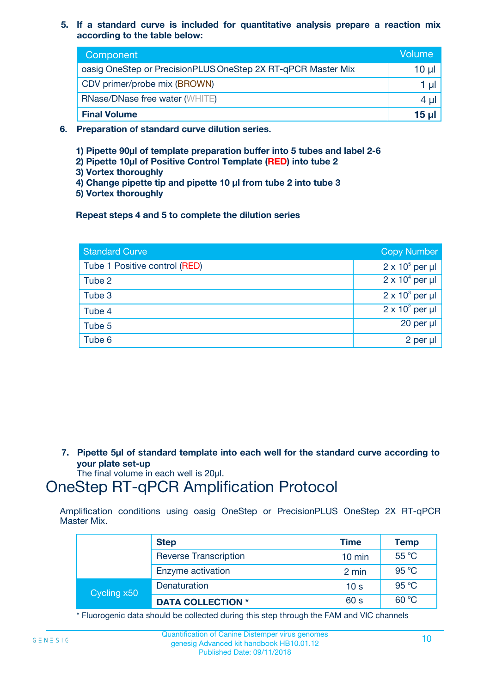**5. If a standard curve is included for quantitative analysis prepare a reaction mix according to the table below:**

| Component                                                    | Volume |
|--------------------------------------------------------------|--------|
| oasig OneStep or PrecisionPLUS OneStep 2X RT-qPCR Master Mix | 10 µl  |
| CDV primer/probe mix (BROWN)                                 |        |
| <b>RNase/DNase free water (WHITE)</b>                        | 4 µl   |
| <b>Final Volume</b>                                          | 15 µl  |

- **6. Preparation of standard curve dilution series.**
	- **1) Pipette 90µl of template preparation buffer into 5 tubes and label 2-6**
	- **2) Pipette 10µl of Positive Control Template (RED) into tube 2**
	- **3) Vortex thoroughly**
	- **4) Change pipette tip and pipette 10 µl from tube 2 into tube 3**
	- **5) Vortex thoroughly**

**Repeat steps 4 and 5 to complete the dilution series**

| <b>Standard Curve</b>         | <b>Copy Number</b>     |
|-------------------------------|------------------------|
| Tube 1 Positive control (RED) | $2 \times 10^5$ per µl |
| Tube 2                        | $2 \times 10^4$ per µl |
| Tube 3                        | $2 \times 10^3$ per µl |
| Tube 4                        | $2 \times 10^2$ per µl |
| Tube 5                        | 20 per µl              |
| Tube 6                        | $2$ per $\mu$          |

**7. Pipette 5µl of standard template into each well for the standard curve according to your plate set-up**

The final volume in each well is 20µl.

### OneStep RT-qPCR Amplification Protocol

Amplification conditions using oasig OneStep or PrecisionPLUS OneStep 2X RT-qPCR Master Mix.

|             | <b>Step</b>                  | <b>Time</b>      | <b>Temp</b> |
|-------------|------------------------------|------------------|-------------|
|             | <b>Reverse Transcription</b> | $10 \text{ min}$ | 55 °C       |
|             | Enzyme activation            | 2 min            | 95 °C       |
| Cycling x50 | Denaturation                 | 10 <sub>s</sub>  | 95 °C       |
|             | <b>DATA COLLECTION *</b>     | 60 s             | 60 °C       |

\* Fluorogenic data should be collected during this step through the FAM and VIC channels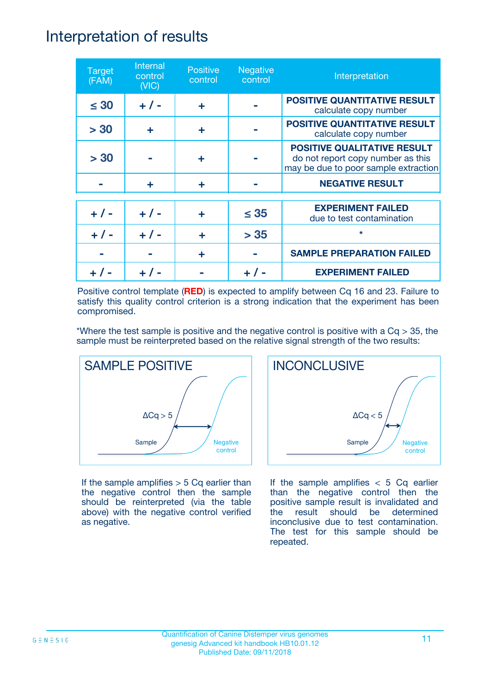### Interpretation of results

| <b>Target</b><br>(FAM) | Internal<br>control<br>(NIC) | <b>Positive</b><br>control | <b>Negative</b><br>control | Interpretation                                                                                                  |
|------------------------|------------------------------|----------------------------|----------------------------|-----------------------------------------------------------------------------------------------------------------|
| $\leq 30$              | $+ 1 -$                      | ÷                          |                            | <b>POSITIVE QUANTITATIVE RESULT</b><br>calculate copy number                                                    |
| > 30                   | ÷                            | ÷                          |                            | <b>POSITIVE QUANTITATIVE RESULT</b><br>calculate copy number                                                    |
| > 30                   |                              | ÷                          |                            | <b>POSITIVE QUALITATIVE RESULT</b><br>do not report copy number as this<br>may be due to poor sample extraction |
|                        | ÷                            | ÷                          |                            | <b>NEGATIVE RESULT</b>                                                                                          |
| $+ 1 -$                | $+ 1 -$                      | ÷                          | $\leq$ 35                  | <b>EXPERIMENT FAILED</b><br>due to test contamination                                                           |
| $+ 1 -$                | $+ 1 -$                      | ÷                          | > 35                       | $\star$                                                                                                         |
|                        |                              | ÷                          |                            | <b>SAMPLE PREPARATION FAILED</b>                                                                                |
|                        |                              |                            |                            | <b>EXPERIMENT FAILED</b>                                                                                        |

Positive control template (**RED**) is expected to amplify between Cq 16 and 23. Failure to satisfy this quality control criterion is a strong indication that the experiment has been compromised.

\*Where the test sample is positive and the negative control is positive with a  $Cq > 35$ , the sample must be reinterpreted based on the relative signal strength of the two results:



If the sample amplifies  $> 5$  Cq earlier than the negative control then the sample should be reinterpreted (via the table above) with the negative control verified as negative.



If the sample amplifies  $< 5$  Cq earlier than the negative control then the positive sample result is invalidated and the result should be determined inconclusive due to test contamination. The test for this sample should be repeated.